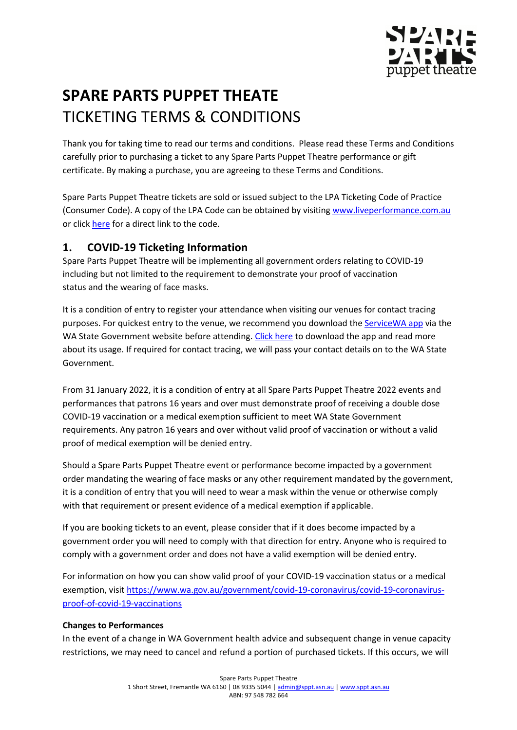

# **SPARE PARTS PUPPET THEATE** TICKETING TERMS & CONDITIONS

Thank you for taking time to read our terms and conditions. Please read these Terms and Conditions carefully prior to purchasing a ticket to any Spare Parts Puppet Theatre performance or gift certificate. By making a purchase, you are agreeing to these Terms and Conditions.

Spare Parts Puppet Theatre tickets are sold or issued subject to the LPA Ticketing Code of Practice (Consumer Code). A copy of the LPA Code can be obtained by visiting www.liveperformance.com.au or click here for a direct link to the code.

## **1. COVID-19 Ticketing Information**

Spare Parts Puppet Theatre will be implementing all government orders relating to COVID-19 including but not limited to the requirement to demonstrate your proof of vaccination status and the wearing of face masks.

It is a condition of entry to register your attendance when visiting our venues for contact tracing purposes. For quickest entry to the venue, we recommend you download the ServiceWA app via the WA State Government website before attending. Click here to download the app and read more about its usage. If required for contact tracing, we will pass your contact details on to the WA State Government. 

From 31 January 2022, it is a condition of entry at all Spare Parts Puppet Theatre 2022 events and performances that patrons 16 years and over must demonstrate proof of receiving a double dose COVID-19 vaccination or a medical exemption sufficient to meet WA State Government requirements. Any patron 16 years and over without valid proof of vaccination or without a valid proof of medical exemption will be denied entry.

Should a Spare Parts Puppet Theatre event or performance become impacted by a government order mandating the wearing of face masks or any other requirement mandated by the government, it is a condition of entry that you will need to wear a mask within the venue or otherwise comply with that requirement or present evidence of a medical exemption if applicable.

If you are booking tickets to an event, please consider that if it does become impacted by a government order you will need to comply with that direction for entry. Anyone who is required to comply with a government order and does not have a valid exemption will be denied entry.

For information on how you can show valid proof of your COVID-19 vaccination status or a medical exemption, visit https://www.wa.gov.au/government/covid-19-coronavirus/covid-19-coronavirusproof-of-covid-19-vaccinations

#### **Changes to Performances**

In the event of a change in WA Government health advice and subsequent change in venue capacity restrictions, we may need to cancel and refund a portion of purchased tickets. If this occurs, we will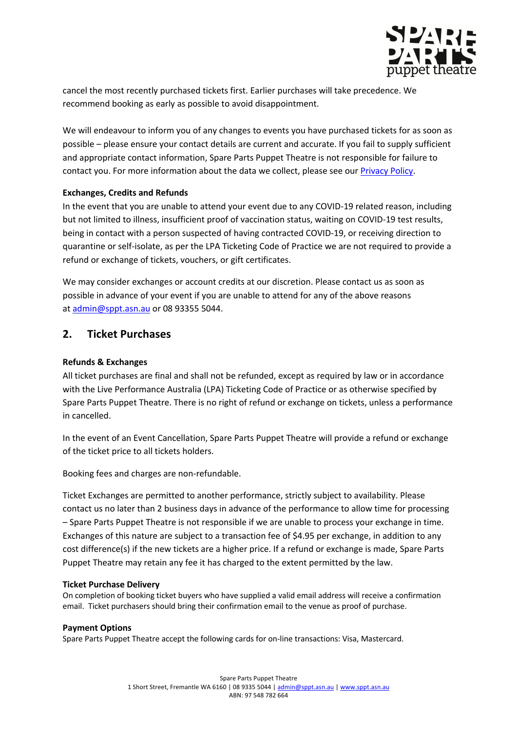

cancel the most recently purchased tickets first. Earlier purchases will take precedence. We recommend booking as early as possible to avoid disappointment. 

We will endeavour to inform you of any changes to events you have purchased tickets for as soon as possible – please ensure your contact details are current and accurate. If you fail to supply sufficient and appropriate contact information, Spare Parts Puppet Theatre is not responsible for failure to contact you. For more information about the data we collect, please see our **Privacy Policy**.

#### **Exchanges, Credits and Refunds**

In the event that you are unable to attend your event due to any COVID-19 related reason, including but not limited to illness, insufficient proof of vaccination status, waiting on COVID-19 test results, being in contact with a person suspected of having contracted COVID-19, or receiving direction to quarantine or self-isolate, as per the LPA Ticketing Code of Practice we are not required to provide a refund or exchange of tickets, vouchers, or gift certificates.

We may consider exchanges or account credits at our discretion. Please contact us as soon as possible in advance of your event if you are unable to attend for any of the above reasons at admin@sppt.asn.au or 08 93355 5044.

### **2. Ticket Purchases**

#### **Refunds & Exchanges**

All ticket purchases are final and shall not be refunded, except as required by law or in accordance with the Live Performance Australia (LPA) Ticketing Code of Practice or as otherwise specified by Spare Parts Puppet Theatre. There is no right of refund or exchange on tickets, unless a performance in cancelled.

In the event of an Event Cancellation, Spare Parts Puppet Theatre will provide a refund or exchange of the ticket price to all tickets holders.

Booking fees and charges are non-refundable.

Ticket Exchanges are permitted to another performance, strictly subject to availability. Please contact us no later than 2 business days in advance of the performance to allow time for processing – Spare Parts Puppet Theatre is not responsible if we are unable to process your exchange in time. Exchanges of this nature are subject to a transaction fee of \$4.95 per exchange, in addition to any cost difference(s) if the new tickets are a higher price. If a refund or exchange is made, Spare Parts Puppet Theatre may retain any fee it has charged to the extent permitted by the law.

#### **Ticket Purchase Delivery**

On completion of booking ticket buyers who have supplied a valid email address will receive a confirmation email. Ticket purchasers should bring their confirmation email to the venue as proof of purchase.

#### **Payment Options**

Spare Parts Puppet Theatre accept the following cards for on-line transactions: Visa, Mastercard.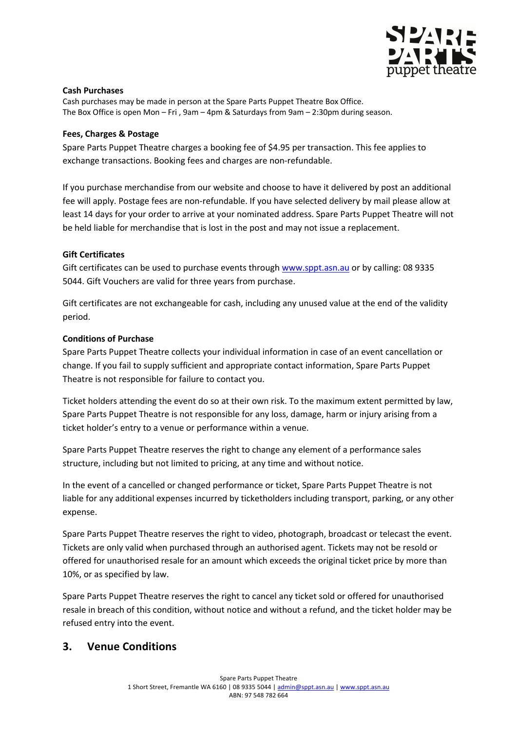

#### **Cash Purchases**

Cash purchases may be made in person at the Spare Parts Puppet Theatre Box Office. The Box Office is open Mon – Fri , 9am – 4pm & Saturdays from 9am – 2:30pm during season.

#### **Fees, Charges & Postage**

Spare Parts Puppet Theatre charges a booking fee of \$4.95 per transaction. This fee applies to exchange transactions. Booking fees and charges are non-refundable.

If you purchase merchandise from our website and choose to have it delivered by post an additional fee will apply. Postage fees are non-refundable. If you have selected delivery by mail please allow at least 14 days for your order to arrive at your nominated address. Spare Parts Puppet Theatre will not be held liable for merchandise that is lost in the post and may not issue a replacement.

#### **Gift Certificates**

Gift certificates can be used to purchase events through www.sppt.asn.au or by calling: 08 9335 5044. Gift Vouchers are valid for three years from purchase.

Gift certificates are not exchangeable for cash, including any unused value at the end of the validity period.

#### **Conditions of Purchase**

Spare Parts Puppet Theatre collects your individual information in case of an event cancellation or change. If you fail to supply sufficient and appropriate contact information, Spare Parts Puppet Theatre is not responsible for failure to contact you.

Ticket holders attending the event do so at their own risk. To the maximum extent permitted by law, Spare Parts Puppet Theatre is not responsible for any loss, damage, harm or injury arising from a ticket holder's entry to a venue or performance within a venue.

Spare Parts Puppet Theatre reserves the right to change any element of a performance sales structure, including but not limited to pricing, at any time and without notice.

In the event of a cancelled or changed performance or ticket, Spare Parts Puppet Theatre is not liable for any additional expenses incurred by ticketholders including transport, parking, or any other expense.

Spare Parts Puppet Theatre reserves the right to video, photograph, broadcast or telecast the event. Tickets are only valid when purchased through an authorised agent. Tickets may not be resold or offered for unauthorised resale for an amount which exceeds the original ticket price by more than 10%, or as specified by law.

Spare Parts Puppet Theatre reserves the right to cancel any ticket sold or offered for unauthorised resale in breach of this condition, without notice and without a refund, and the ticket holder may be refused entry into the event.

## **3. Venue Conditions**